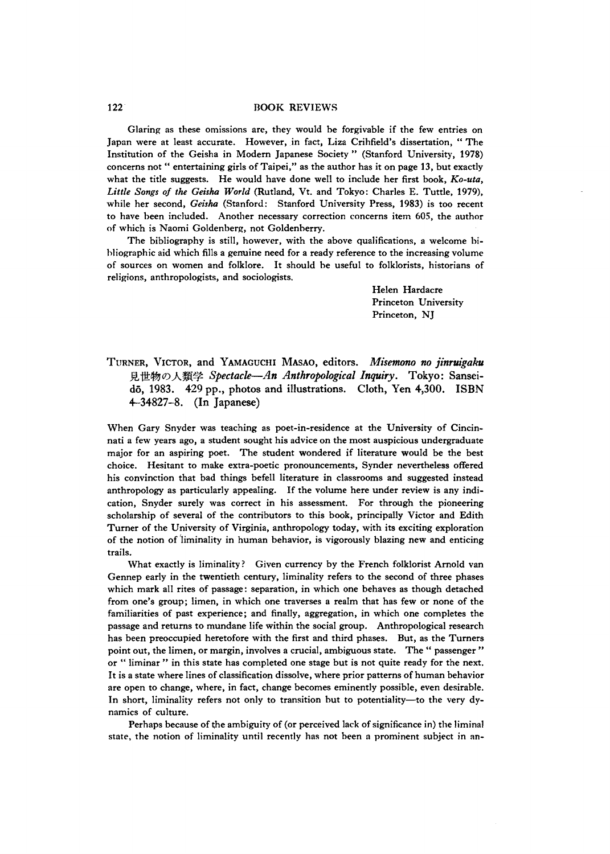## 122 BOOK REVIEWS

Glaring as these omissions are, they would be forgivable if the few entries on Japan were at least accurate. However, in fact, Liza Crihfield's dissertation, " The Institution of the Geisha in Modern Japanese Society " (Stanford University, 1978) concerns not " entertaining girls of Taipei," as the author has it on page 13, but exactly what the title suggests. He would have done well to include her first book, *Ko-uta, Little Songs of the Geisha World* (Rutland, Vt. and Tokyo: Charles E. Tuttle, 1979), while her second, *Geisha* (Stanford: Stanford University Press, 1983) is too recent to have been included. Another necessary correction concerns item 605, the author of which is Naomi Goldenberg, not Goldenberry.

The bibliography is still, however, with the above qualifications, a welcome bibliographic aid which fills a genuine need for a ready reference to the increasing volume of sources on women and folklore. It should be useful to folklorists, historians of religions, anthropologists, and sociologists.

> Helen Hardacre Princeton University Princeton, NJ

TURNER, VICTOR, and YAMAGUCHI MASAO, editors. Misemono no *jinruigaku* 見世物の人類学 *Spectacle—An Anthropological Inquiry.* Tokyo: Sanseidō, 1983. 429 pp., photos and illustrations. Cloth, Yen 4,300. ISBN 4-34827-8. (In Japanese)

When Gary Snyder was teaching as poet-in-residence at the University of Cincinnati a few years ago, a student sought his advice on the most auspicious undergraduate major for an aspiring poet. The student wondered if literature would be the best choice. Hesitant to make extra-poetic pronouncements, Synder nevertheless offered his convinction that bad things befell literature in classrooms and suggested instead anthropology as particularly appealing. If the volume here under review is any indication, Snyder surely was correct in his assessment. For through the pioneering scholarship of several of the contributors to this book, principally Victor and Edith Turner of the University of Virginia, anthropology today, with its exciting exploration of the notion of liminality in human behavior, is vigorously blazing new and enticing trails.

What exactly is liminality? Given currency by the French folklorist Arnold van Gennep early in the twentieth century, liminality refers to the second of three phases which mark all rites of passage: separation, in which one behaves as though detached from one's group; limen, in which one traverses a realm that has few or none of the familiarities of past experience; and finally, aggregation, in which one completes the passage and returns to mundane life within the social group. Anthropological research has been preoccupied heretofore with the first and third phases. But, as the Turners point out, the limen, or margin, involves a crucial, ambiguous state. The " passenger " or " liminar " in this state has completed one stage but is not quite ready for the next. It is a state where lines of classification dissolve, where prior patterns of human behavior are open to change, where, in fact, change becomes eminently possible, even desirable. In short, liminality refers not only to transition but to potentiality—to the very dynamics of culture.

Perhaps because of the ambiguity of (or perceived lack of significance in) the liminal state, the notion of liminality until recently has not been a prominent subject in an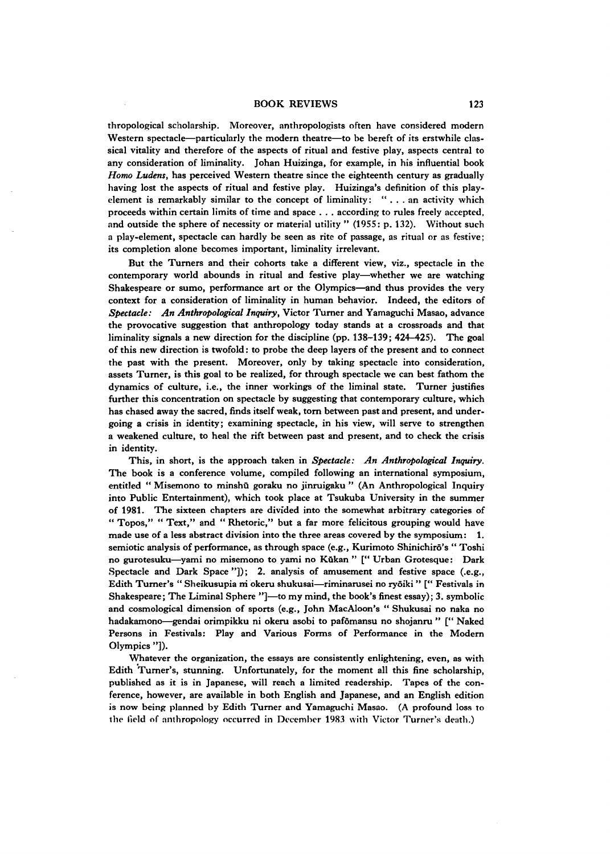## BOOK REVIEWS 123

thropological scholarship. Moreover, anthropologists often have considered modern Western spectacle—particularly the modern theatre—to be bereft of its erstwhile classical vitality and therefore of the aspects of ritual and festive play, aspects central to any consideration of liminality. Johan Huizinga, for example, in his influential book *Homo Ludens,* has perceived Western theatre since the eighteenth century as gradually having lost the aspects of ritual and festive play. Huizinga's definition of this playelement is remarkably similar to the concept of liminality: "... an activity which proceeds within certain limits of time and space . . . according to rules freely accepted, and outside the sphere of necessity or material utility " (1955: p. 132). Without such a play-element, spectacle can hardly be seen as rite of passage, as ritual or as festive; its completion alone becomes important, liminality irrelevant.

But the Turners and their cohorts take a different view, viz., spectacle in the contemporary world abounds in ritual and festive play—whether we are watching Shakespeare or sumo, performance art or the Olympics—and thus provides the very context for a consideration of liminality in human behavior. Indeed, the editors of *Spectacle: An Anthropological Inquiryy* Victor Turner and Yamaguchi Masao, advance the provocative suggestion that anthropology today stands at a crossroads and that liminality signals a new direction for the discipline (pp. 138-139; 424-425). The goal of this new direction is twofold: to probe the deep layers of the present and to connect the past with the present. Moreover, only by taking spectacle into consideration, assets Turner, is this goal to be realized, for through spectacle we can best fathom the dynamics of culture, i.e., the inner workings of the liminal state. Turner justifies further this concentration on spectacle by suggesting that contemporary culture, which has chased away the sacred, finds itself weak, tom between past and present, and undergoing a crisis in identity; examining spectacle, in his view, will serve to strengthen a weakened culture, to heal the rift between past and present, and to check the crisis in identity.

This, in short, is the approach taken in *Spectacle*: *An Anthropological Inquiry.* The book is a conference volume, compiled following an international symposium, entitled " Misemono to minshū goraku no jinruigaku " (An Anthropological Inquiry into Public Entertainment), which took place at Tsukuba University in the summer of 1981. The sixteen chapters are divided into the somewhat arbitrary categories of " Topos," " Text," and " Rhetoric," but a far more felicitous grouping would have made use of a less abstract division into the three areas covered by the symposium: 1. semiotic analysis of performance, as through space (e.g., Kurimoto Shinichirō's "Toshi no gurotesuku-yami no misemono to yami no Kūkan " [" Urban Grotesque: Dark Spectacle and Dark Space '']); 2. analysis of amusement and festive space (.e.g., Edith Turner's " Sheikusupia m okeru shukusai—riminarusei no ryoiki " [" Festivals in Shakespeare; The Liminal Sphere "]—to my mind, the book's finest essay); 3. symbolic and cosmological dimension of sports (e.g., John MacAloon's " Shukusai no naka no hadakamono—gendai orimpikku ni okeru asobi to pafomansu no shojanru " ['' Naked Persons in Festivals: Play and Various Forms of Performance in the Modern Olympics "]).

Whatever the organization, the essays are consistently enlightening, even, as with Edith Turner's, stunning. Unfortunately, for the moment all this fine scholarship, published as it is in Japanese, will reach a limited readership. Tapes of the conference, however, are available in both English and Japanese, and an English edition is now being planned by Edith Turner and Yamaguchi Masao. (A profound loss to the field of anthropology occurred in December 1983 with Victor Turner's death.)